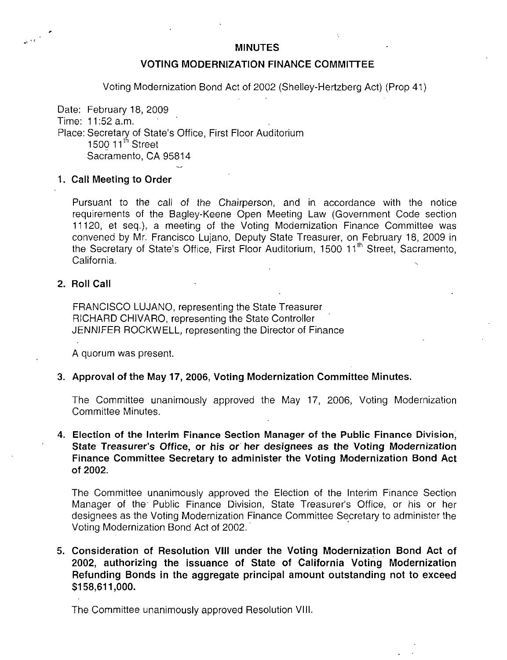#### MINUTES

### VOTING MODERNIZATION FINANCE COMMITTEE

Voting Modernization Bond Act of 2002 (Shelley-Hertzberg Act) (Prop 41)

Date: February 18, 2009 Time: 11:52 a.m. Place: Secretary of State's Office, First Floor Auditorium 1500 11<sup>th</sup> Street Sacramento, CA 95814

### 1. Call Meeting to Order

Pursuant to the call of the Chairperson, and in accordance with the notice requirements of the Bagley-Keene Open Meeting Law (Government Code section 11120, et seq.), a meeting of the Voting Modernization Finance Committee was convened by Mr. Francisco Lujano, Deputy State Treasurer, on February 18, 2009 in the Secretary of State's Office, First Floor Auditorium, 1500 11<sup>th</sup> Street, Sacramento, California.

## 2. Roll Call

FRANCISCO LUJANO, representing the State Treasurer RICHARD CHIVARO, representing the State Controller JENNIFER ROCKWELL, representing the Director of Finance

A quorum was present.

### 3. Approval of the May 17, 2006, Voting Modernization Committee Minutes.

The Committee unanimously approved the May 17, 2006, Voting Modernization Committee Minutes.

### 4. Election of the Interim Finance Section Manager of the Public Finance Division, State Treasurer's Office, or his or her designees as the Voting Modernization Finance Committee Secretary to administer the Voting Modernization Bond Act of 2002.

The Committee unanimously approved the Election of the Interim Finance Section Manager of the' Public Finance Division, State Treasurer's Office, or his or her designees as the Voting Modernization Finance Committee Secretary to administer the Voting Modernization Bond Act of 2002.

## 5. Consideration of Resolution VIII under the Voting Modernization Bond Act of 2002, authorizing the issuance of State of California Voting Modernization Refunding Bonds in the aggregate principal amount outstanding not to exceed \$158,611,000.

The Committee unanimously approved Resolution VIII.